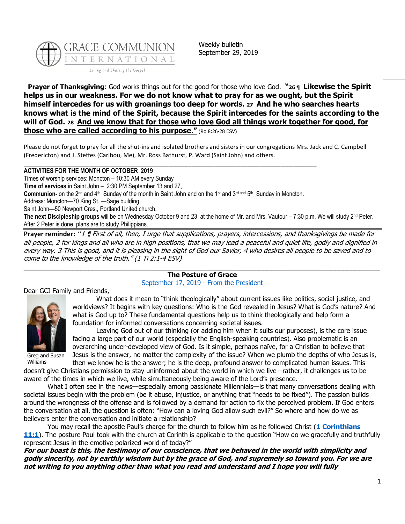

Weekly bulletin September 29, 2019

**Prayer of Thanksgiving**: God works things out for the good for those who love God. **"<sup>26</sup> ¶ Likewise the Spirit helps us in our weakness. For we do not know what to pray for as we ought, but the Spirit himself intercedes for us with groanings too deep for words. <sup>27</sup> And he who searches hearts knows what is the mind of the Spirit, because the Spirit intercedes for the saints according to the will of God. <sup>28</sup> And we know that for those who love God all things work together for good, for those who are called according to his purpose."** (Ro 8:26-28 ESV)

Please do not forget to pray for all the shut-ins and isolated brothers and sisters in our congregations Mrs. Jack and C. Campbell (Fredericton) and J. Steffes (Caribou, Me), Mr. Ross Bathurst, P. Ward (Saint John) and others.

#### \_\_\_\_\_\_\_\_\_\_\_\_\_\_\_\_\_\_\_\_\_\_\_\_\_\_\_\_\_\_\_\_\_\_\_\_\_\_\_\_\_\_\_\_\_\_\_\_\_\_\_\_\_\_\_\_\_\_\_\_\_\_\_\_\_\_\_\_\_\_\_\_\_\_\_\_\_\_\_\_\_\_\_\_\_\_\_\_\_ **ACTIVITIES FOR THE MONTH OF OCTOBER 2019**

Times of worship services: Moncton – 10:30 AM every Sunday **Time of services** in Saint John – 2:30 PM September 13 and 27, Communion- on the 2<sup>nd</sup> and 4<sup>th</sup> Sunday of the month in Saint John and on the 1<sup>st</sup> and 3<sup>rd and</sup> 5<sup>th</sup> Sunday in Moncton. Address: Moncton—70 King St. —Sage building; Saint John—50 Newport Cres., Portland United church. The next Discipleship groups will be on Wednesday October 9 and 23 at the home of Mr. and Mrs. Vautour – 7:30 p.m. We will study 2<sup>nd</sup> Peter. After 2 Peter is done, plans are to study Philippians.

**Prayer reminder:** *"*<sup>1</sup> ¶ First of all, then, I urge that supplications, prayers, intercessions, and thanksgivings be made for all people, 2 for kings and all who are in high positions, that we may lead a peaceful and quiet life, godly and dignified in every way. 3 This is good, and it is pleasing in the sight of God our Savior, 4 who desires all people to be saved and to come to the knowledge of the truth." (1 Ti 2:1-4 ESV) \_\_\_\_\_\_\_\_\_\_\_\_\_\_\_\_\_\_\_\_\_\_\_\_\_\_\_\_\_\_\_\_\_\_\_\_\_\_\_\_\_\_\_\_\_\_\_\_\_\_\_\_\_\_\_\_\_\_\_\_\_\_\_\_\_\_\_\_\_\_\_\_\_\_\_\_\_\_\_\_\_\_\_\_\_\_\_\_

# **The Posture of Grace**

[September 17, 2019](https://update.gci.org/2019/09/the-posture-of-grace/) - [From the President](https://update.gci.org/category/president/)

Dear GCI Family and Friends,



What does it mean to "think theologically" about current issues like politics, social justice, and worldviews? It begins with key questions: Who is the God revealed in Jesus? What is God's nature? And what is God up to? These fundamental questions help us to think theologically and help form a foundation for informed conversations concerning societal issues.

Greg and Susan Williams

Leaving God out of our thinking (or adding him when it suits our purposes), is the core issue facing a large part of our world (especially the English-speaking countries). Also problematic is an overarching under-developed view of God. Is it simple, perhaps naïve, for a Christian to believe that Jesus is the answer, no matter the complexity of the issue? When we plumb the depths of who Jesus is, then we know he is the answer; he is the deep, profound answer to complicated human issues. This

doesn't give Christians permission to stay uninformed about the world in which we live—rather, it challenges us to be aware of the times in which we live, while simultaneously being aware of the Lord's presence.

What I often see in the news—especially among passionate Millennials—is that many conversations dealing with societal issues begin with the problem (be it abuse, injustice, or anything that "needs to be fixed"). The passion builds around the wrongness of the offense and is followed by a demand for action to fix the perceived problem. If God enters the conversation at all, the question is often: "How can a loving God allow such evil?" So where and how do we as believers enter the conversation and initiate a relationship?

You may recall the apostle Paul's charge for the church to follow him as he followed Christ (**[1 Corinthians](https://biblia.com/bible/niv/1%20Cor%2011.1)  [11:1](https://biblia.com/bible/niv/1%20Cor%2011.1)**). The posture Paul took with the church at Corinth is applicable to the question "How do we gracefully and truthfully represent Jesus in the emotive polarized world of today?"

**For our boast is this, the testimony of our conscience, that we behaved in the world with simplicity and godly sincerity, not by earthly wisdom but by the grace of God, and supremely so toward you. For we are not writing to you anything other than what you read and understand and I hope you will fully**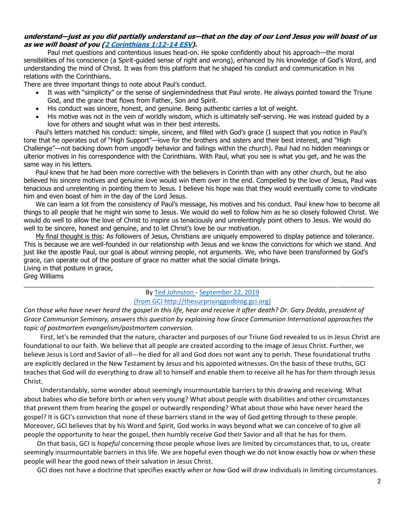# **understand—just as you did partially understand us—that on the day of our Lord Jesus you will boast of us as we will boast of you [\(2 Corinthians 1:12-14 ESV\)](https://biblia.com/bible/esv/2%20Cor%201.12-14).**

Paul met questions and contentious issues head-on. He spoke confidently about his approach—the moral sensibilities of his conscience (a Spirit-guided sense of right and wrong), enhanced by his knowledge of God's Word, and understanding the mind of Christ. It was from this platform that he shaped his conduct and communication in his relations with the Corinthians.

There are three important things to note about Paul's conduct.

- It was with "simplicity" or the sense of singlemindedness that Paul wrote. He always pointed toward the Triune God, and the grace that flows from Father, Son and Spirit.
- His conduct was sincere, honest, and genuine. Being authentic carries a lot of weight.
- His motive was not in the vein of worldly wisdom, which is ultimately self-serving. He was instead guided by a love for others and sought what was in their best interests.

Paul's letters matched his conduct: simple, sincere, and filled with God's grace (I suspect that you notice in Paul's tone that he operates out of "High Support"—love for the brothers and sisters and their best interest, and "High Challenge"—not backing down from ungodly behavior and failings within the church). Paul had no hidden meanings or ulterior motives in his correspondence with the Corinthians. With Paul, what you see is what you get, and he was the same way in his letters.

Paul knew that he had been more corrective with the believers in Corinth than with any other church, but he also believed his sincere motives and genuine love would win them over in the end. Compelled by the love of Jesus, Paul was tenacious and unrelenting in pointing them to Jesus. I believe his hope was that they would eventually come to vindicate him and even boast of him in the day of the Lord Jesus.

We can learn a lot from the consistency of Paul's message, his motives and his conduct. Paul knew how to become all things to all people that he might win some to Jesus. We would do well to follow him as he so closely followed Christ. We would do well to allow the love of Christ to inspire us tenaciously and unrelentingly point others to Jesus. We would do well to be sincere, honest and genuine, and to let Christ's love be our motivation.

My final thought is this: As followers of Jesus, Christians are uniquely empowered to display patience and tolerance. This is because we are well-founded in our relationship with Jesus and we know the convictions for which we stand. And just like the apostle Paul, our goal is about winning people, not arguments. We, who have been transformed by God's grace, can operate out of the posture of grace no matter what the social climate brings. Living in that posture in grace,

Greg Williams

## B[y Ted Johnston -](https://www.blogger.com/profile/08677739021765621811) [September 22, 2019](http://thesurprisinggodblog.gci.org/2019/09/what-about-postmortem-evangelism.html)  (from GCI http://thesurprisinggodblog.gci.org)

 $\_$  ,  $\_$  ,  $\_$  ,  $\_$  ,  $\_$  ,  $\_$  ,  $\_$  ,  $\_$  ,  $\_$  ,  $\_$  ,  $\_$  ,  $\_$  ,  $\_$  ,  $\_$  ,  $\_$  ,  $\_$  ,  $\_$  ,  $\_$  ,  $\_$  ,  $\_$  ,  $\_$  ,  $\_$  ,  $\_$  ,  $\_$  ,  $\_$  ,  $\_$  ,  $\_$  ,  $\_$  ,  $\_$  ,  $\_$  ,  $\_$  ,  $\_$  ,  $\_$  ,  $\_$  ,  $\_$  ,  $\_$  ,  $\_$  ,

Can those who have never heard the gospel in this life, hear and receive it after death? Dr. Gary Deddo, president of *Grace Communion Seminary, answers this question by explaining how Grace Communion International approaches the topic of postmortem evangelism/postmortem conversion.*

 First, let's be reminded that the nature, character and purposes of our Triune God revealed to us in Jesus Christ are foundational to our faith. We believe that all people are created according to the image of Jesus Christ. Further, we believe Jesus is Lord and Savior of all---he died for all and God does not want any to perish. These foundational truths are explicitly declared in the New Testament by Jesus and his appointed witnesses. On the basis of these truths, GCI teaches that God will do everything to draw all to himself and enable them to receive all he has for them through Jesus Christ.

 Understandably, some wonder about seemingly insurmountable barriers to this drawing and receiving. What about babies who die before birth or when very young? What about people with disabilities and other circumstances that prevent them from hearing the gospel or outwardly responding? What about those who have never heard the gospel? It is GCI's conviction that none of these barriers stand in the way of God getting through to these people. Moreover, GCI believes that by his Word and Spirit, God works in ways beyond what we can conceive of to give all people the opportunity to hear the gospel, then humbly receive God their Savior and all that he has for them.

 On that basis, GCI is *hopeful* concerning those people whose lives are limited by circumstances that, to us, create seemingly insurmountable barriers in this life. We are hopeful even though we do not know exactly how or when these people will hear the good news of their salvation in Jesus Christ.

GCI does not have a doctrine that specifies exactly *when* or *how* God will draw individuals in limiting circumstances.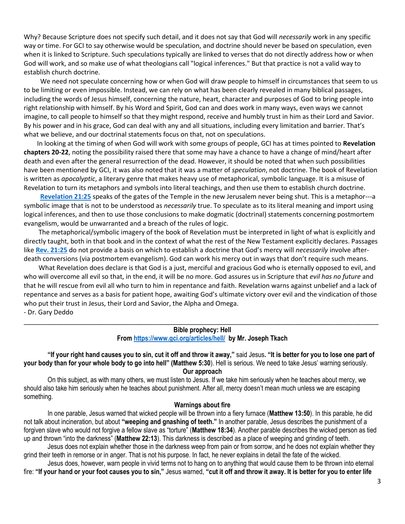Why? Because Scripture does not specify such detail, and it does not say that God will *necessarily* work in any specific way or time. For GCI to say otherwise would be speculation, and doctrine should never be based on speculation, even when it is linked to Scripture. Such speculations typically are linked to verses that do not directly address how or when God will work, and so make use of what theologians call "logical inferences." But that practice is not a valid way to establish church doctrine.

 We need not speculate concerning how or when God will draw people to himself in circumstances that seem to us to be limiting or even impossible. Instead, we can rely on what has been clearly revealed in many biblical passages, including the words of Jesus himself, concerning the nature, heart, character and purposes of God to bring people into right relationship with himself. By his Word and Spirit, God can and does work in many ways, even ways we cannot imagine, to call people to himself so that they might respond, receive and humbly trust in him as their Lord and Savior. By his power and in his grace, God can deal with any and all situations, including every limitation and barrier. That's what we believe, and our doctrinal statements focus on that, not on speculations.

 In looking at the timing of when God will work with some groups of people, GCI has at times pointed to **Revelation chapters 20-22**, noting the possibility raised there that some may have a chance to have a change of mind/heart after death and even after the general resurrection of the dead. However, it should be noted that when such possibilities have been mentioned by GCI, it was also noted that it was a matter of *speculation*, not doctrine. The book of Revelation is written as *apocalyptic*, a literary genre that makes heavy use of metaphorical, symbolic language. It is a misuse of Revelation to turn its metaphors and symbols into literal teachings, and then use them to establish church doctrine.

 **[Revelation 21:25](https://biblia.com/bible/niv/Rev%2021.25)** speaks of the gates of the Temple in the new Jerusalem never being shut. This is a metaphor---a symbolic image that is not to be understood as *necessarily* true. To speculate as to its literal meaning and import using logical inferences, and then to use those conclusions to make dogmatic (doctrinal) statements concerning postmortem evangelism, would be unwarranted and a breach of the rules of logic.

 The metaphorical/symbolic imagery of the book of Revelation must be interpreted in light of what is explicitly and directly taught, both in that book and in the context of what the rest of the New Testament explicitly declares. Passages like **[Rev. 21:25](https://biblia.com/bible/niv/Rev.%2021.25)** do not provide a basis on which to establish a doctrine that God's mercy will *necessarily* involve afterdeath conversions (via postmortem evangelism). God can work his mercy out in ways that don't require such means.

 What Revelation does declare is that God is a just, merciful and gracious God who is eternally opposed to evil, and who will overcome all evil so that, in the end, it will be no more. God assures us in Scripture that *evil has no future* and that he will rescue from evil all who turn to him in repentance and faith. Revelation warns against unbelief and a lack of repentance and serves as a basis for patient hope, awaiting God's ultimate victory over evil and the vindication of those who put their trust in Jesus, their Lord and Savior, the Alpha and Omega. - Dr. Gary Deddo

## \_\_\_\_\_\_\_\_\_\_\_\_\_\_\_\_\_\_\_\_\_\_\_\_\_\_\_\_\_\_\_\_\_\_\_\_\_\_\_\_\_\_\_\_\_\_\_\_\_\_\_\_\_\_\_\_\_\_\_\_\_\_\_\_\_\_\_\_\_\_\_\_\_\_\_\_\_\_\_\_\_\_\_\_\_\_\_\_\_\_\_\_\_\_\_\_\_\_ **Bible prophecy: Hell**

**From<https://www.gci.org/articles/hell/>by Mr. Joseph Tkach**

**"If your right hand causes you to sin, cut it off and throw it away,"** said Jesus**. "It is better for you to lose one part of your body than for your whole body to go into hell" ([Matthew 5:30](https://biblia.com/bible/niv/Matt%205.30)**). Hell is serious. We need to take Jesus' warning seriously. **Our approach**

On this subject, as with many others, we must listen to Jesus. If we take him seriously when he teaches about mercy, we should also take him seriously when he teaches about punishment. After all, mercy doesn't mean much unless we are escaping something.

### **Warnings about fire**

In one parable, Jesus warned that wicked people will be thrown into a fiery furnace (**[Matthew 13:50](https://biblia.com/bible/niv/Matt%2013.50)**). In this parable, he did not talk about incineration, but about **"weeping and gnashing of teeth."** In another parable, Jesus describes the punishment of a forgiven slave who would not forgive a fellow slave as "torture" (**[Matthew 18:34](https://biblia.com/bible/niv/Matt%2018.34)**). Another parable describes the wicked person as tied up and thrown "into the darkness" (**[Matthew 22:13](https://biblia.com/bible/niv/Matt%2022.13)**). This darkness is described as a place of weeping and grinding of teeth.

Jesus does not explain whether those in the darkness weep from pain or from sorrow, and he does not explain whether they grind their teeth in remorse or in anger. That is not his purpose. In fact, he never explains in detail the fate of the wicked.

Jesus does, however, warn people in vivid terms not to hang on to anything that would cause them to be thrown into eternal fire: **"If your hand or your foot causes you to sin,"** Jesus warned, **"cut it off and throw it away. It is better for you to enter life**